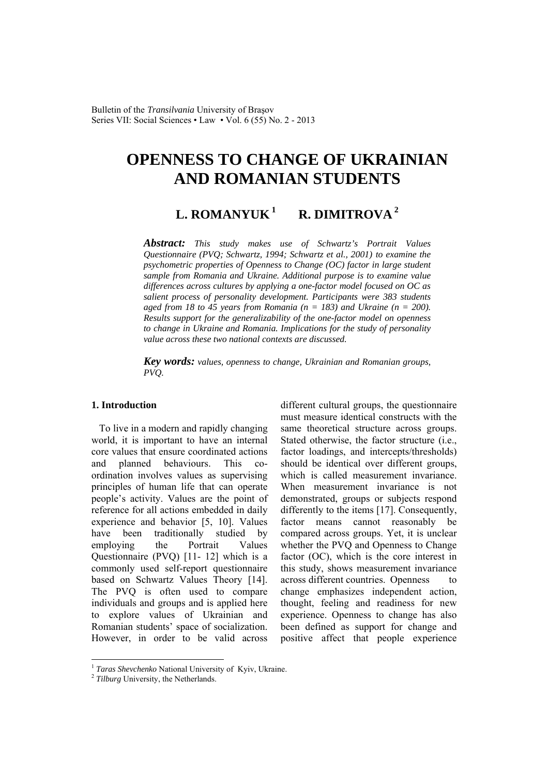# **OPENNESS TO CHANGE OF UKRAINIAN AND ROMANIAN STUDENTS**

L. ROMANYUK<sup>1</sup> R. DIMITROVA<sup>2</sup>

*Abstract: This study makes use of Schwartz's Portrait Values Questionnaire (PVQ; Schwartz, 1994; Schwartz et al., 2001) to examine the psychometric properties of Openness to Change (OC) factor in large student sample from Romania and Ukraine. Additional purpose is to examine value differences across cultures by applying a one-factor model focused on OC as salient process of personality development. Participants were 383 students*  aged from 18 to 45 years from Romania ( $n = 183$ ) and Ukraine ( $n = 200$ ). *Results support for the generalizability of the one-factor model on openness to change in Ukraine and Romania. Implications for the study of personality value across these two national contexts are discussed.*

*Key words: values, openness to change, Ukrainian and Romanian groups, PVQ.*

### **1. Introduction**

To live in a modern and rapidly changing world, it is important to have an internal core values that ensure coordinated actions and planned behaviours. This coordination involves values as supervising principles of human life that can operate people's activity. Values are the point of reference for all actions embedded in daily experience and behavior [5, 10]. Values have been traditionally studied by employing the Portrait Values Questionnaire (PVQ) [11- 12] which is a commonly used self-report questionnaire based on Schwartz Values Theory [14]. The PVQ is often used to compare individuals and groups and is applied here to explore values of Ukrainian and Romanian students' space of socialization. However, in order to be valid across

different cultural groups, the questionnaire must measure identical constructs with the same theoretical structure across groups. Stated otherwise, the factor structure (i.e., factor loadings, and intercepts/thresholds) should be identical over different groups, which is called measurement invariance When measurement invariance is not demonstrated, groups or subjects respond differently to the items [17]. Consequently, factor means cannot reasonably be compared across groups. Yet, it is unclear whether the PVQ and Openness to Change factor (OC), which is the core interest in this study, shows measurement invariance across different countries. Openness to change emphasizes independent action, thought, feeling and readiness for new experience. Openness to change has also been defined as support for change and positive affect that people experience

 $\overline{a}$ 

<sup>1</sup> *Taras Shevchenko* National University of Kyiv, Ukraine. 2 *Tilburg* University, the Netherlands.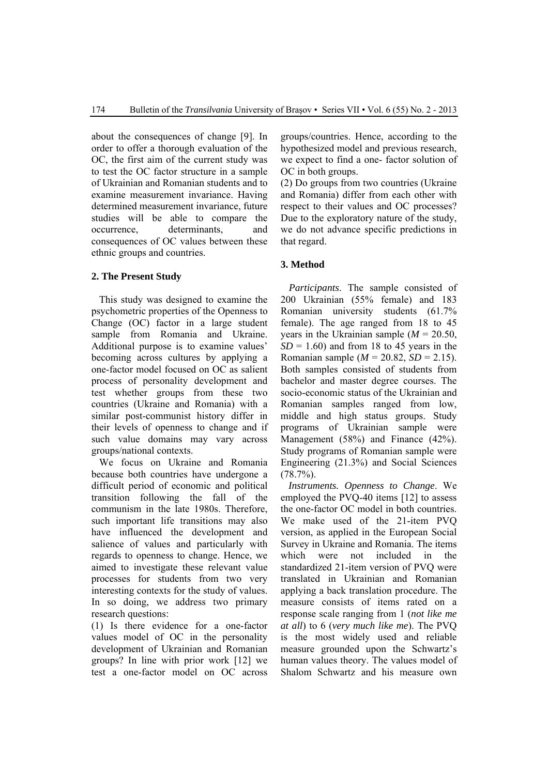about the consequences of change [9]. In order to offer a thorough evaluation of the OC, the first aim of the current study was to test the OC factor structure in a sample of Ukrainian and Romanian students and to examine measurement invariance. Having determined measurement invariance, future studies will be able to compare the occurrence, determinants, and consequences of OC values between these ethnic groups and countries.

## **2. The Present Study**

This study was designed to examine the psychometric properties of the Openness to Change (OC) factor in a large student sample from Romania and Ukraine. Additional purpose is to examine values' becoming across cultures by applying a one-factor model focused on OC as salient process of personality development and test whether groups from these two countries (Ukraine and Romania) with a similar post-communist history differ in their levels of openness to change and if such value domains may vary across groups/national contexts.

We focus on Ukraine and Romania because both countries have undergone a difficult period of economic and political transition following the fall of the communism in the late 1980s. Therefore, such important life transitions may also have influenced the development and salience of values and particularly with regards to openness to change. Hence, we aimed to investigate these relevant value processes for students from two very interesting contexts for the study of values. In so doing, we address two primary research questions:

(1) Is there evidence for a one-factor values model of OC in the personality development of Ukrainian and Romanian groups? In line with prior work [12] we test a one-factor model on OC across

groups/countries. Hence, according to the hypothesized model and previous research, we expect to find a one- factor solution of OC in both groups.

(2) Do groups from two countries (Ukraine and Romania) differ from each other with respect to their values and OC processes? Due to the exploratory nature of the study, we do not advance specific predictions in that regard.

### **3. Method**

*Participants*. The sample consisted of 200 Ukrainian (55% female) and 183 Romanian university students (61.7% female). The age ranged from 18 to 45 years in the Ukrainian sample  $(M = 20.50)$ ,  $SD = 1.60$ ) and from 18 to 45 years in the Romanian sample ( $M = 20.82$ ,  $SD = 2.15$ ). Both samples consisted of students from bachelor and master degree courses. The socio-economic status of the Ukrainian and Romanian samples ranged from low, middle and high status groups. Study programs of Ukrainian sample were Management (58%) and Finance (42%). Study programs of Romanian sample were Engineering (21.3%) and Social Sciences  $(78.7\%)$ .

*Instruments. Openness to Change*. We employed the PVQ-40 items [12] to assess the one-factor OC model in both countries. We make used of the 21-item PVQ version, as applied in the European Social Survey in Ukraine and Romania. The items which were not included in the standardized 21-item version of PVQ were translated in Ukrainian and Romanian applying a back translation procedure. The measure consists of items rated on a response scale ranging from 1 (*not like me at all*) to 6 (*very much like me*). The PVQ is the most widely used and reliable measure grounded upon the Schwartz's human values theory. The values model of Shalom Schwartz and his measure own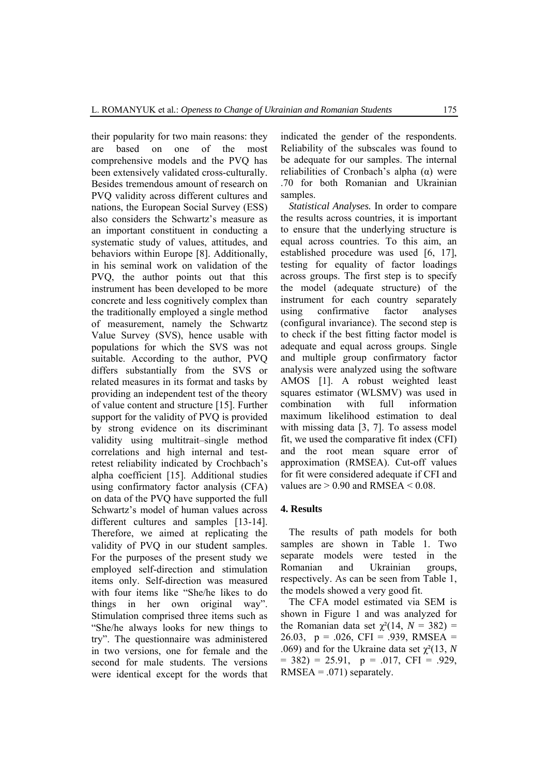their popularity for two main reasons: they are based on one of the most comprehensive models and the PVQ has been extensively validated cross-culturally. Besides tremendous amount of research on PVQ validity across different cultures and nations, the European Social Survey (ESS) also considers the Schwartz's measure as an important constituent in conducting a systematic study of values, attitudes, and behaviors within Europe [8]. Additionally, in his seminal work on validation of the PVQ, the author points out that this instrument has been developed to be more concrete and less cognitively complex than the traditionally employed a single method of measurement, namely the Schwartz Value Survey (SVS), hence usable with populations for which the SVS was not suitable. According to the author, PVQ differs substantially from the SVS or related measures in its format and tasks by providing an independent test of the theory of value content and structure [15]. Further support for the validity of PVQ is provided by strong evidence on its discriminant validity using multitrait–single method correlations and high internal and testretest reliability indicated by Crochbach's alpha coefficient [15]. Additional studies using confirmatory factor analysis (CFA) on data of the PVQ have supported the full Schwartz's model of human values across different cultures and samples [13-14]. Therefore, we aimed at replicating the validity of PVQ in our student samples. For the purposes of the present study we employed self-direction and stimulation items only. Self-direction was measured with four items like "She/he likes to do things in her own original way". Stimulation comprised three items such as "She/he always looks for new things to try". The questionnaire was administered in two versions, one for female and the second for male students. The versions were identical except for the words that

indicated the gender of the respondents. Reliability of the subscales was found to be adequate for our samples. The internal reliabilities of Cronbach's alpha  $(α)$  were .70 for both Romanian and Ukrainian samples.

*Statistical Analyses.* In order to compare the results across countries, it is important to ensure that the underlying structure is equal across countries. To this aim, an established procedure was used [6, 17], testing for equality of factor loadings across groups. The first step is to specify the model (adequate structure) of the instrument for each country separately using confirmative factor analyses (configural invariance). The second step is to check if the best fitting factor model is adequate and equal across groups. Single and multiple group confirmatory factor analysis were analyzed using the software AMOS [1]. A robust weighted least squares estimator (WLSMV) was used in combination with full information maximum likelihood estimation to deal with missing data [3, 7]. To assess model fit, we used the comparative fit index (CFI) and the root mean square error of approximation (RMSEA). Cut-off values for fit were considered adequate if CFI and values are  $> 0.90$  and RMSEA  $< 0.08$ .

## **4. Results**

The results of path models for both samples are shown in Table 1. Two separate models were tested in the Romanian and Ukrainian groups, respectively. As can be seen from Table 1, the models showed a very good fit.

The CFA model estimated via SEM is shown in Figure 1 and was analyzed for the Romanian data set  $\chi^2(14, N = 382)$  = 26.03,  $p = .026$ , CFI = .939, RMSEA = .069) and for the Ukraine data set  $\chi^2(13, N)$  $= 382$ ) = 25.91,  $p = .017$ , CFI = .929,  $RMSEA = .071$ ) separately.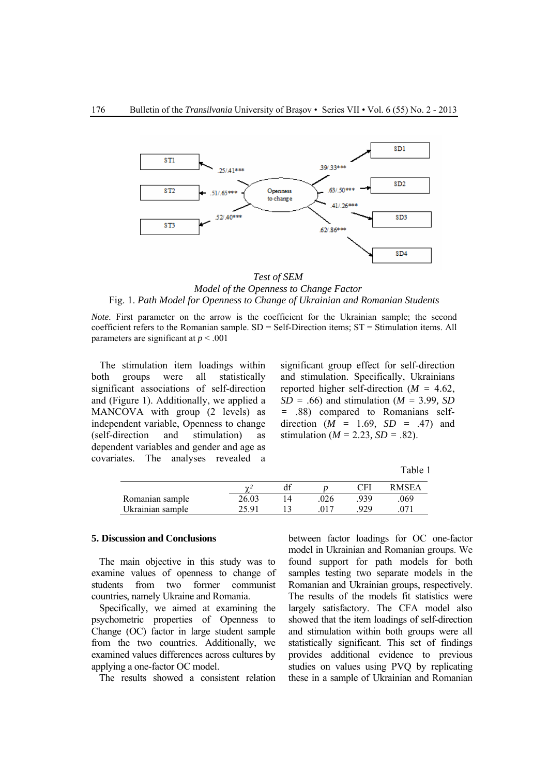

*Test of SEM Model of the Openness to Change Factor*  Fig. 1. *Path Model for Openness to Change of Ukrainian and Romanian Students* 

*Note*. First parameter on the arrow is the coefficient for the Ukrainian sample; the second coefficient refers to the Romanian sample.  $SD = Self-Direction$  items;  $ST = Stimulation$  items. All parameters are significant at *p* < .001

The stimulation item loadings within both groups were all statistically significant associations of self-direction and (Figure 1). Additionally, we applied a MANCOVA with group (2 levels) as independent variable, Openness to change (self-direction and stimulation) as dependent variables and gender and age as covariates. The analyses revealed a significant group effect for self-direction and stimulation. Specifically, Ukrainians reported higher self-direction (*M =* 4.62, *SD =* .66) and stimulation (*M =* 3.99*, SD =* .88) compared to Romanians selfdirection (*M =* 1.69*, SD =* .47) and stimulation ( $M = 2.23$ ,  $SD = .82$ ).

Table 1

|                  | $\Delta I$ |  | CFl | <b>RMSEA</b> |
|------------------|------------|--|-----|--------------|
| Romanian sample  | 26.03      |  | 939 | 069          |
| Ukrainian sample | ว< ด1      |  | ۵۵۵ |              |

## **5. Discussion and Conclusions**

The main objective in this study was to examine values of openness to change of students from two former communist countries, namely Ukraine and Romania.

Specifically, we aimed at examining the psychometric properties of Openness to Change (OC) factor in large student sample from the two countries. Additionally, we examined values differences across cultures by applying a one-factor OC model.

The results showed a consistent relation

between factor loadings for OC one-factor model in Ukrainian and Romanian groups. We found support for path models for both samples testing two separate models in the Romanian and Ukrainian groups, respectively. The results of the models fit statistics were largely satisfactory. The CFA model also showed that the item loadings of self-direction and stimulation within both groups were all statistically significant. This set of findings provides additional evidence to previous studies on values using PVQ by replicating these in a sample of Ukrainian and Romanian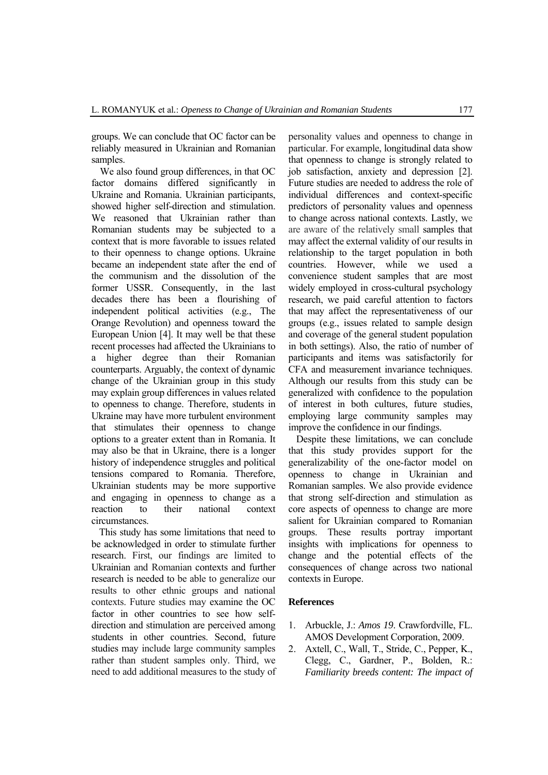groups. We can conclude that OC factor can be reliably measured in Ukrainian and Romanian samples.

We also found group differences, in that OC factor domains differed significantly in Ukraine and Romania. Ukrainian participants, showed higher self-direction and stimulation. We reasoned that Ukrainian rather than Romanian students may be subjected to a context that is more favorable to issues related to their openness to change options. Ukraine became an independent state after the end of the communism and the dissolution of the former USSR. Consequently, in the last decades there has been a flourishing of independent political activities (e.g., The Orange Revolution) and openness toward the European Union [4]. It may well be that these recent processes had affected the Ukrainians to a higher degree than their Romanian counterparts. Arguably, the context of dynamic change of the Ukrainian group in this study may explain group differences in values related to openness to change. Therefore, students in Ukraine may have more turbulent environment that stimulates their openness to change options to a greater extent than in Romania. It may also be that in Ukraine, there is a longer history of independence struggles and political tensions compared to Romania. Therefore, Ukrainian students may be more supportive and engaging in openness to change as a reaction to their national context circumstances.

This study has some limitations that need to be acknowledged in order to stimulate further research. First, our findings are limited to Ukrainian and Romanian contexts and further research is needed to be able to generalize our results to other ethnic groups and national contexts. Future studies may examine the OC factor in other countries to see how selfdirection and stimulation are perceived among students in other countries. Second, future studies may include large community samples rather than student samples only. Third, we need to add additional measures to the study of

personality values and openness to change in particular. For example, longitudinal data show that openness to change is strongly related to job satisfaction, anxiety and depression [2]. Future studies are needed to address the role of individual differences and context-specific predictors of personality values and openness to change across national contexts. Lastly, we are aware of the relatively small samples that may affect the external validity of our results in relationship to the target population in both countries. However, while we used a convenience student samples that are most widely employed in cross-cultural psychology research, we paid careful attention to factors that may affect the representativeness of our groups (e.g., issues related to sample design and coverage of the general student population in both settings). Also, the ratio of number of participants and items was satisfactorily for CFA and measurement invariance techniques. Although our results from this study can be generalized with confidence to the population of interest in both cultures, future studies, employing large community samples may improve the confidence in our findings.

Despite these limitations, we can conclude that this study provides support for the generalizability of the one-factor model on openness to change in Ukrainian and Romanian samples. We also provide evidence that strong self-direction and stimulation as core aspects of openness to change are more salient for Ukrainian compared to Romanian groups. These results portray important insights with implications for openness to change and the potential effects of the consequences of change across two national contexts in Europe.

#### **References**

- 1. Arbuckle, J.: *Amos 19*. Crawfordville, FL. AMOS Development Corporation, 2009.
- 2. Axtell, C., Wall, T., Stride, C., Pepper, K., Clegg, C., Gardner, P., Bolden, R.: *Familiarity breeds content: The impact of*